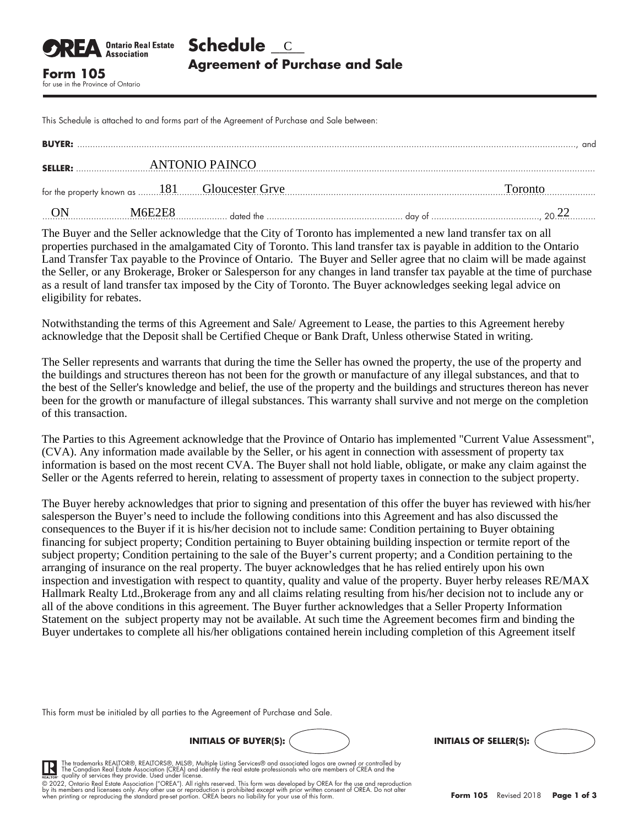This Schedule is attached to and forms part of the Agreement of Purchase and Sale between:

for use in the Province of Ontario

**Ontario Real Estate Association** 

| <b>BUYER:</b>  |         |                | and     |
|----------------|---------|----------------|---------|
| <b>SELLER:</b> |         | ANTONIO PAINCO |         |
|                |         |                | Toronto |
|                | M6EZEX. |                |         |

The Buyer and the Seller acknowledge that the City of Toronto has implemented a new land transfer tax on all properties purchased in the amalgamated City of Toronto. This land transfer tax is payable in addition to the Ontario Land Transfer Tax payable to the Province of Ontario. The Buyer and Seller agree that no claim will be made against the Seller, or any Brokerage, Broker or Salesperson for any changes in land transfer tax payable at the time of purchase as a result of land transfer tax imposed by the City of Toronto. The Buyer acknowledges seeking legal advice on eligibility for rebates.

Notwithstanding the terms of this Agreement and Sale/ Agreement to Lease, the parties to this Agreement hereby acknowledge that the Deposit shall be Certified Cheque or Bank Draft, Unless otherwise Stated in writing.

The Seller represents and warrants that during the time the Seller has owned the property, the use of the property and the buildings and structures thereon has not been for the growth or manufacture of any illegal substances, and that to the best of the Seller's knowledge and belief, the use of the property and the buildings and structures thereon has never been for the growth or manufacture of illegal substances. This warranty shall survive and not merge on the completion of this transaction.

The Parties to this Agreement acknowledge that the Province of Ontario has implemented "Current Value Assessment", (CVA). Any information made available by the Seller, or his agent in connection with assessment of property tax information is based on the most recent CVA. The Buyer shall not hold liable, obligate, or make any claim against the Seller or the Agents referred to herein, relating to assessment of property taxes in connection to the subject property.

The Buyer hereby acknowledges that prior to signing and presentation of this offer the buyer has reviewed with his/her salesperson the Buyer's need to include the following conditions into this Agreement and has also discussed the consequences to the Buyer if it is his/her decision not to include same: Condition pertaining to Buyer obtaining financing for subject property; Condition pertaining to Buyer obtaining building inspection or termite report of the subject property; Condition pertaining to the sale of the Buyer's current property; and a Condition pertaining to the arranging of insurance on the real property. The buyer acknowledges that he has relied entirely upon his own inspection and investigation with respect to quantity, quality and value of the property. Buyer herby releases RE/MAX Hallmark Realty Ltd.,Brokerage from any and all claims relating resulting from his/her decision not to include any or all of the above conditions in this agreement. The Buyer further acknowledges that a Seller Property Information Statement on the subject property may not be available. At such time the Agreement becomes firm and binding the Buyer undertakes to complete all his/her obligations contained herein including completion of this Agreement itself

This form must be initialed by all parties to the Agreement of Purchase and Sale.





The trademarks REALTOR®, REALTORS®, MLS®, Multiple Listing Services® and associated logos are owned or controlled by<br>The Canadian Real Estate Association (CREA) and identify the real estate professionals who are members of

by its members and licensees only. Any other use or reproduction is prohibited except with prior written consent of OREA. Do not alter<br>when printing or reproducing the standard pre-set portion. OREA bears no liability for © 2022, Ontario Real Estate Association ("OREA"). All rights reserved. This form was developed by OREA for the use and reproduction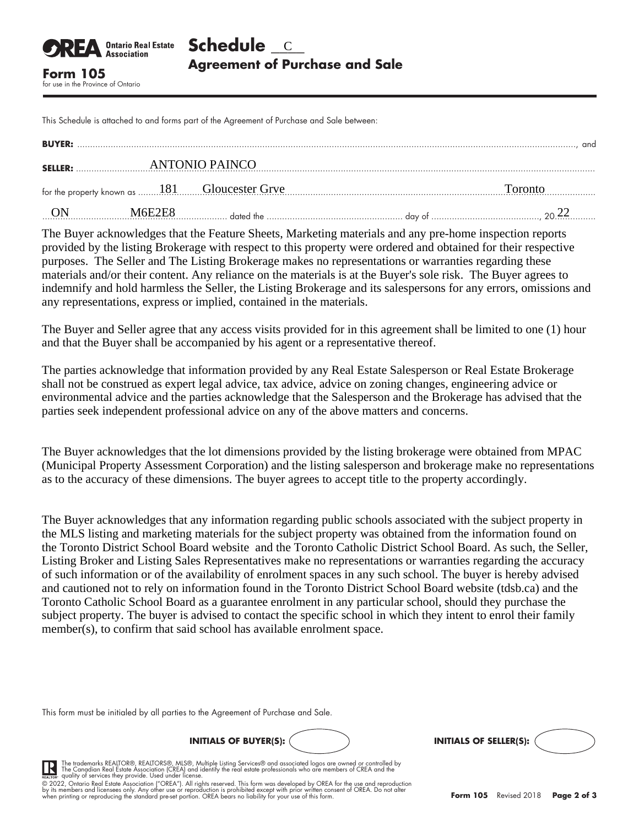This Schedule is attached to and forms part of the Agreement of Purchase and Sale between:

for use in the Province of Ontario

**Association** 

| <b>BUYER:</b>  |        |                | and     |
|----------------|--------|----------------|---------|
| <b>SELLER:</b> |        | ANTONIO PAINCO |         |
|                |        |                | Toronto |
|                | M6E7EX |                |         |

The Buyer acknowledges that the Feature Sheets, Marketing materials and any pre-home inspection reports provided by the listing Brokerage with respect to this property were ordered and obtained for their respective purposes. The Seller and The Listing Brokerage makes no representations or warranties regarding these materials and/or their content. Any reliance on the materials is at the Buyer's sole risk. The Buyer agrees to indemnify and hold harmless the Seller, the Listing Brokerage and its salespersons for any errors, omissions and any representations, express or implied, contained in the materials.

The Buyer and Seller agree that any access visits provided for in this agreement shall be limited to one (1) hour and that the Buyer shall be accompanied by his agent or a representative thereof.

The parties acknowledge that information provided by any Real Estate Salesperson or Real Estate Brokerage shall not be construed as expert legal advice, tax advice, advice on zoning changes, engineering advice or environmental advice and the parties acknowledge that the Salesperson and the Brokerage has advised that the parties seek independent professional advice on any of the above matters and concerns.

The Buyer acknowledges that the lot dimensions provided by the listing brokerage were obtained from MPAC (Municipal Property Assessment Corporation) and the listing salesperson and brokerage make no representations as to the accuracy of these dimensions. The buyer agrees to accept title to the property accordingly.

The Buyer acknowledges that any information regarding public schools associated with the subject property in the MLS listing and marketing materials for the subject property was obtained from the information found on the Toronto District School Board website and the Toronto Catholic District School Board. As such, the Seller, Listing Broker and Listing Sales Representatives make no representations or warranties regarding the accuracy of such information or of the availability of enrolment spaces in any such school. The buyer is hereby advised and cautioned not to rely on information found in the Toronto District School Board website (tdsb.ca) and the Toronto Catholic School Board as a guarantee enrolment in any particular school, should they purchase the subject property. The buyer is advised to contact the specific school in which they intent to enrol their family member(s), to confirm that said school has available enrolment space.

This form must be initialed by all parties to the Agreement of Purchase and Sale.





The trademarks REALTOR®, REALTORS®, MLS®, Multiple Listing Services® and associated logos are owned or controlled by<br>The Canadian Real Estate Association (CREA) and identify the real estate professionals who are members of

by its members and licensees only. Any other use or reproduction is prohibited except with prior written consent of OREA. Do not alter<br>when printing or reproducing the standard pre-set portion. OREA bears no liability for © 2022, Ontario Real Estate Association ("OREA"). All rights reserved. This form was developed by OREA for the use and reproduction